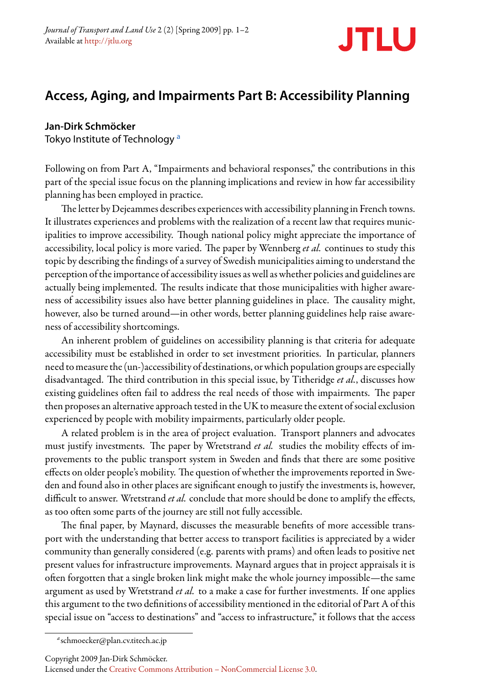

## **Access, Aging, and Impairments Part B: Accessibility Planning**

**Jan-Dirk Schmöcker** Tokyo Institute of Technology<sup>a</sup>

Following on from Part A, "Impairments and behavioral responses," the contributions in this part of the special issue focus on the planning implications and review in how far accessibility planning has been employed in practice.

The letter by Dejeammes describes experiences with accessibility planning in French towns. It illustrates experiences and problems with the realization of a recent law that requires municipalities to improve accessibility. Though national policy might appreciate the importance of accessibility, local policy is more varied. The paper by Wennberg *et al.* continues to study this topic by describing the đndings of a survey of Swedish municipalities aiming to understand the perception of the importance of accessibility issues as well as whether policies and guidelines are actually being implemented. The results indicate that those municipalities with higher awareness of accessibility issues also have better planning guidelines in place. The causality might, however, also be turned around—in other words, better planning guidelines help raise awareness of accessibility shortcomings.

An inherent problem of guidelines on accessibility planning is that criteria for adequate accessibility must be established in order to set investment priorities. In particular, planners need to measure the (un-)accessibility of destinations, or which population groups are especially disadvantaged. The third contribution in this special issue, by Titheridge et al., discusses how existing guidelines often fail to address the real needs of those with impairments. The paper then proposes an alternative approach tested in the UK to measure the extent of social exclusion experienced by people with mobility impairments, particularly older people.

A related problem is in the area of project evaluation. Transport planners and advocates must justify investments. The paper by Wretstrand *et al.* studies the mobility effects of improvements to the public transport system in Sweden and đnds that there are some positive effects on older people's mobility. The question of whether the improvements reported in Sweden and found also in other places are signiđcant enough to justify the investments is, however, difficult to answer. Wretstrand *et al.* conclude that more should be done to amplify the effects, as too often some parts of the journey are still not fully accessible.

The final paper, by Maynard, discusses the measurable benefits of more accessible transport with the understanding that better access to transport facilities is appreciated by a wider community than generally considered (e.g. parents with prams) and often leads to positive net present values for infrastructure improvements. Maynard argues that in project appraisals it is often forgotten that a single broken link might make the whole journey impossible—the same argument as used by Wretstrand *et al.* to a make a case for further investments. If one applies this argument to the two deđnitions of accessibility mentioned in the editorial of Part A of this special issue on "access to destinations" and "access to infrastructure," it follows that the access

Copyright 2009 Jan-Dirk Schmöcker.

*a* schmoecker@plan.cv.titech.ac.jp

Licensed under the [Creative Commons Attribution – NonCommercial License 3.0.](http://creativecommons.org/licenses/by-nc/3.0)